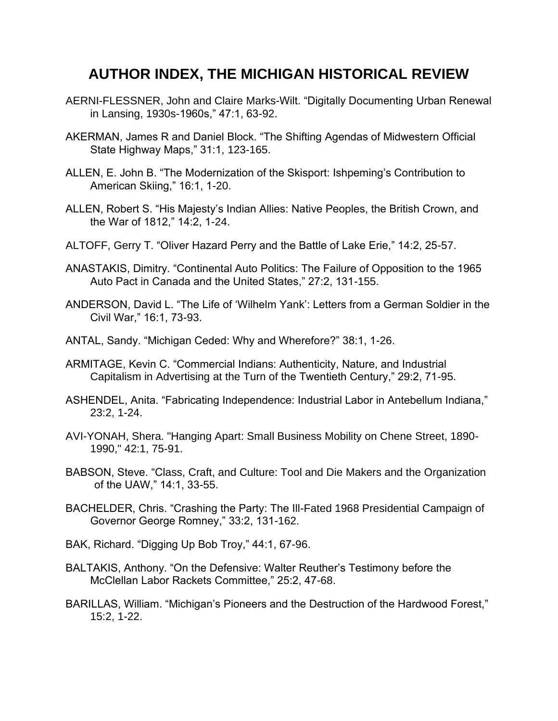## **AUTHOR INDEX, THE MICHIGAN HISTORICAL REVIEW**

- AERNI-FLESSNER, John and Claire Marks-Wilt. "Digitally Documenting Urban Renewal in Lansing, 1930s-1960s," 47:1, 63-92.
- AKERMAN, James R and Daniel Block. "The Shifting Agendas of Midwestern Official State Highway Maps," 31:1, 123-165.
- ALLEN, E. John B. "The Modernization of the Skisport: Ishpeming's Contribution to American Skiing," 16:1, 1-20.
- ALLEN, Robert S. "His Majesty's Indian Allies: Native Peoples, the British Crown, and the War of 1812," 14:2, 1-24.
- ALTOFF, Gerry T. "Oliver Hazard Perry and the Battle of Lake Erie," 14:2, 25-57.
- ANASTAKIS, Dimitry. "Continental Auto Politics: The Failure of Opposition to the 1965 Auto Pact in Canada and the United States," 27:2, 131-155.
- ANDERSON, David L. "The Life of 'Wilhelm Yank': Letters from a German Soldier in the Civil War," 16:1, 73-93.
- ANTAL, Sandy. "Michigan Ceded: Why and Wherefore?" 38:1, 1-26.
- ARMITAGE, Kevin C. "Commercial Indians: Authenticity, Nature, and Industrial Capitalism in Advertising at the Turn of the Twentieth Century," 29:2, 71-95.
- ASHENDEL, Anita. "Fabricating Independence: Industrial Labor in Antebellum Indiana," 23:2, 1-24.
- AVI-YONAH, Shera. "Hanging Apart: Small Business Mobility on Chene Street, 1890- 1990," 42:1, 75-91.
- BABSON, Steve. "Class, Craft, and Culture: Tool and Die Makers and the Organization of the UAW," 14:1, 33-55.
- BACHELDER, Chris. "Crashing the Party: The Ill-Fated 1968 Presidential Campaign of Governor George Romney," 33:2, 131-162.
- BAK, Richard. "Digging Up Bob Troy," 44:1, 67-96.
- BALTAKIS, Anthony. "On the Defensive: Walter Reuther's Testimony before the McClellan Labor Rackets Committee," 25:2, 47-68.
- BARILLAS, William. "Michigan's Pioneers and the Destruction of the Hardwood Forest," 15:2, 1-22.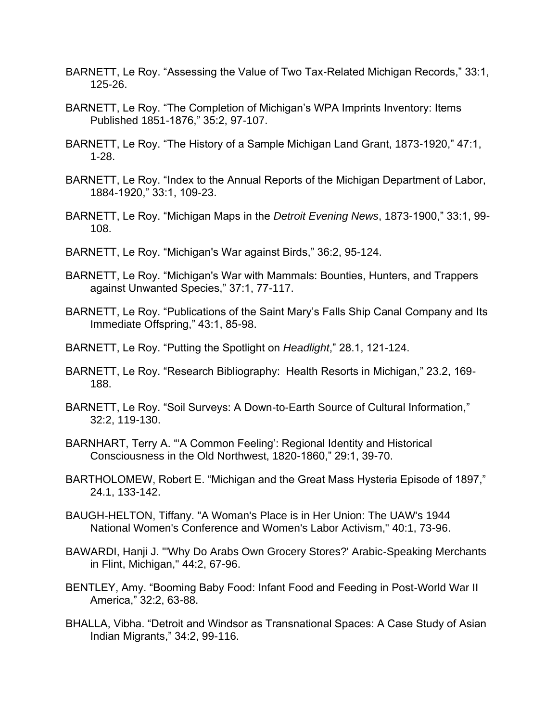- BARNETT, Le Roy. "Assessing the Value of Two Tax-Related Michigan Records," 33:1, 125-26.
- BARNETT, Le Roy. "The Completion of Michigan's WPA Imprints Inventory: Items Published 1851-1876," 35:2, 97-107.
- BARNETT, Le Roy. "The History of a Sample Michigan Land Grant, 1873-1920," 47:1, 1-28.
- BARNETT, Le Roy. "Index to the Annual Reports of the Michigan Department of Labor, 1884-1920," 33:1, 109-23.
- BARNETT, Le Roy. "Michigan Maps in the *Detroit Evening News*, 1873-1900," 33:1, 99- 108.
- BARNETT, Le Roy. "Michigan's War against Birds," 36:2, 95-124.
- BARNETT, Le Roy. "Michigan's War with Mammals: Bounties, Hunters, and Trappers against Unwanted Species," 37:1, 77-117.
- BARNETT, Le Roy. "Publications of the Saint Mary's Falls Ship Canal Company and Its Immediate Offspring," 43:1, 85-98.
- BARNETT, Le Roy. "Putting the Spotlight on *Headlight*," 28.1, 121-124.
- BARNETT, Le Roy. "Research Bibliography: Health Resorts in Michigan," 23.2, 169- 188.
- BARNETT, Le Roy. "Soil Surveys: A Down-to-Earth Source of Cultural Information," 32:2, 119-130.
- BARNHART, Terry A. "'A Common Feeling': Regional Identity and Historical Consciousness in the Old Northwest, 1820-1860," 29:1, 39-70.
- BARTHOLOMEW, Robert E. "Michigan and the Great Mass Hysteria Episode of 1897," 24.1, 133-142.
- BAUGH-HELTON, Tiffany. "A Woman's Place is in Her Union: The UAW's 1944 National Women's Conference and Women's Labor Activism," 40:1, 73-96.
- BAWARDI, Hanji J. "'Why Do Arabs Own Grocery Stores?' Arabic-Speaking Merchants in Flint, Michigan," 44:2, 67-96.
- BENTLEY, Amy. "Booming Baby Food: Infant Food and Feeding in Post-World War II America," 32:2, 63-88.
- BHALLA, Vibha. "Detroit and Windsor as Transnational Spaces: A Case Study of Asian Indian Migrants," 34:2, 99-116.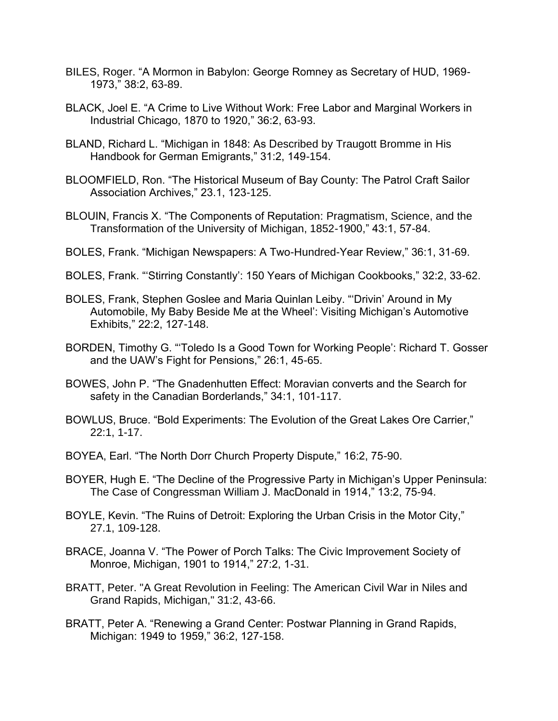- BILES, Roger. "A Mormon in Babylon: George Romney as Secretary of HUD, 1969- 1973," 38:2, 63-89.
- BLACK, Joel E. "A Crime to Live Without Work: Free Labor and Marginal Workers in Industrial Chicago, 1870 to 1920," 36:2, 63-93.
- BLAND, Richard L. "Michigan in 1848: As Described by Traugott Bromme in His Handbook for German Emigrants," 31:2, 149-154.
- BLOOMFIELD, Ron. "The Historical Museum of Bay County: The Patrol Craft Sailor Association Archives," 23.1, 123-125.
- BLOUIN, Francis X. "The Components of Reputation: Pragmatism, Science, and the Transformation of the University of Michigan, 1852-1900," 43:1, 57-84.
- BOLES, Frank. "Michigan Newspapers: A Two-Hundred-Year Review," 36:1, 31-69.
- BOLES, Frank. "'Stirring Constantly': 150 Years of Michigan Cookbooks," 32:2, 33-62.
- BOLES, Frank, Stephen Goslee and Maria Quinlan Leiby. "'Drivin' Around in My Automobile, My Baby Beside Me at the Wheel': Visiting Michigan's Automotive Exhibits," 22:2, 127-148.
- BORDEN, Timothy G. "'Toledo Is a Good Town for Working People': Richard T. Gosser and the UAW's Fight for Pensions," 26:1, 45-65.
- BOWES, John P. "The Gnadenhutten Effect: Moravian converts and the Search for safety in the Canadian Borderlands," 34:1, 101-117.
- BOWLUS, Bruce. "Bold Experiments: The Evolution of the Great Lakes Ore Carrier," 22:1, 1-17.
- BOYEA, Earl. "The North Dorr Church Property Dispute," 16:2, 75-90.
- BOYER, Hugh E. "The Decline of the Progressive Party in Michigan's Upper Peninsula: The Case of Congressman William J. MacDonald in 1914," 13:2, 75-94.
- BOYLE, Kevin. "The Ruins of Detroit: Exploring the Urban Crisis in the Motor City," 27.1, 109-128.
- BRACE, Joanna V. "The Power of Porch Talks: The Civic Improvement Society of Monroe, Michigan, 1901 to 1914," 27:2, 1-31.
- BRATT, Peter. "A Great Revolution in Feeling: The American Civil War in Niles and Grand Rapids, Michigan," 31:2, 43-66.
- BRATT, Peter A. "Renewing a Grand Center: Postwar Planning in Grand Rapids, Michigan: 1949 to 1959," 36:2, 127-158.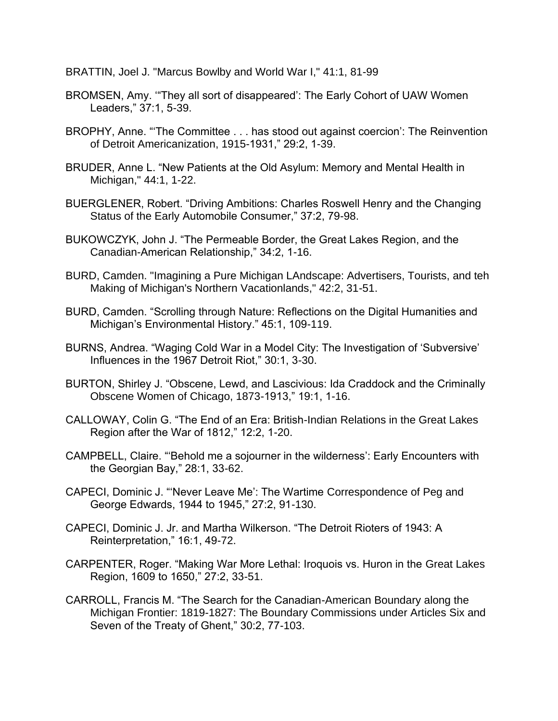BRATTIN, Joel J. "Marcus Bowlby and World War I," 41:1, 81-99

- BROMSEN, Amy. '"They all sort of disappeared': The Early Cohort of UAW Women Leaders," 37:1, 5-39.
- BROPHY, Anne. "'The Committee . . . has stood out against coercion': The Reinvention of Detroit Americanization, 1915-1931," 29:2, 1-39.
- BRUDER, Anne L. "New Patients at the Old Asylum: Memory and Mental Health in Michigan," 44:1, 1-22.
- BUERGLENER, Robert. "Driving Ambitions: Charles Roswell Henry and the Changing Status of the Early Automobile Consumer," 37:2, 79-98.
- BUKOWCZYK, John J. "The Permeable Border, the Great Lakes Region, and the Canadian-American Relationship," 34:2, 1-16.
- BURD, Camden. "Imagining a Pure Michigan LAndscape: Advertisers, Tourists, and teh Making of Michigan's Northern Vacationlands," 42:2, 31-51.
- BURD, Camden. "Scrolling through Nature: Reflections on the Digital Humanities and Michigan's Environmental History." 45:1, 109-119.
- BURNS, Andrea. "Waging Cold War in a Model City: The Investigation of 'Subversive' Influences in the 1967 Detroit Riot," 30:1, 3-30.
- BURTON, Shirley J. "Obscene, Lewd, and Lascivious: Ida Craddock and the Criminally Obscene Women of Chicago, 1873-1913," 19:1, 1-16.
- CALLOWAY, Colin G. "The End of an Era: British-Indian Relations in the Great Lakes Region after the War of 1812," 12:2, 1-20.
- CAMPBELL, Claire. "'Behold me a sojourner in the wilderness': Early Encounters with the Georgian Bay," 28:1, 33-62.
- CAPECI, Dominic J. "'Never Leave Me': The Wartime Correspondence of Peg and George Edwards, 1944 to 1945," 27:2, 91-130.
- CAPECI, Dominic J. Jr. and Martha Wilkerson. "The Detroit Rioters of 1943: A Reinterpretation," 16:1, 49-72.
- CARPENTER, Roger. "Making War More Lethal: Iroquois vs. Huron in the Great Lakes Region, 1609 to 1650," 27:2, 33-51.
- CARROLL, Francis M. "The Search for the Canadian-American Boundary along the Michigan Frontier: 1819-1827: The Boundary Commissions under Articles Six and Seven of the Treaty of Ghent," 30:2, 77-103.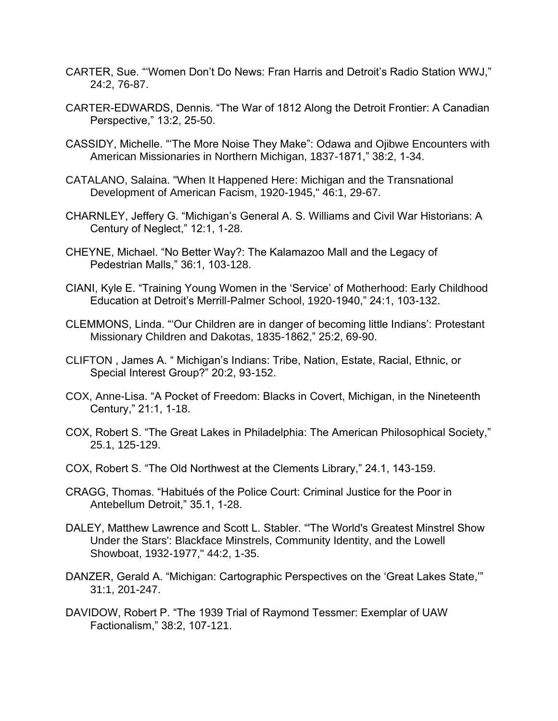- CARTER, Sue. "'Women Don't Do News: Fran Harris and Detroit's Radio Station WWJ," 24:2, 76-87.
- CARTER-EDWARDS, Dennis. "The War of 1812 Along the Detroit Frontier: A Canadian Perspective," 13:2, 25-50.
- CASSIDY, Michelle. "'The More Noise They Make": Odawa and Ojibwe Encounters with American Missionaries in Northern Michigan, 1837-1871," 38:2, 1-34.
- CATALANO, Salaina. "When It Happened Here: Michigan and the Transnational Development of American Facism, 1920-1945," 46:1, 29-67.
- CHARNLEY, Jeffery G. "Michigan's General A. S. Williams and Civil War Historians: A Century of Neglect," 12:1, 1-28.
- CHEYNE, Michael. "No Better Way?: The Kalamazoo Mall and the Legacy of Pedestrian Malls," 36:1, 103-128.
- CIANI, Kyle E. "Training Young Women in the 'Service' of Motherhood: Early Childhood Education at Detroit's Merrill-Palmer School, 1920-1940," 24:1, 103-132.
- CLEMMONS, Linda. "'Our Children are in danger of becoming little Indians': Protestant Missionary Children and Dakotas, 1835-1862," 25:2, 69-90.
- CLIFTON , James A. " Michigan's Indians: Tribe, Nation, Estate, Racial, Ethnic, or Special Interest Group?" 20:2, 93-152.
- COX, Anne-Lisa. "A Pocket of Freedom: Blacks in Covert, Michigan, in the Nineteenth Century," 21:1, 1-18.
- COX, Robert S. "The Great Lakes in Philadelphia: The American Philosophical Society," 25.1, 125-129.
- COX, Robert S. "The Old Northwest at the Clements Library," 24.1, 143-159.
- CRAGG, Thomas. "Habitués of the Police Court: Criminal Justice for the Poor in Antebellum Detroit," 35.1, 1-28.
- DALEY, Matthew Lawrence and Scott L. Stabler. "'The World's Greatest Minstrel Show Under the Stars': Blackface Minstrels, Community Identity, and the Lowell Showboat, 1932-1977," 44:2, 1-35.
- DANZER, Gerald A. "Michigan: Cartographic Perspectives on the 'Great Lakes State,'" 31:1, 201-247.
- DAVIDOW, Robert P. "The 1939 Trial of Raymond Tessmer: Exemplar of UAW Factionalism," 38:2, 107-121.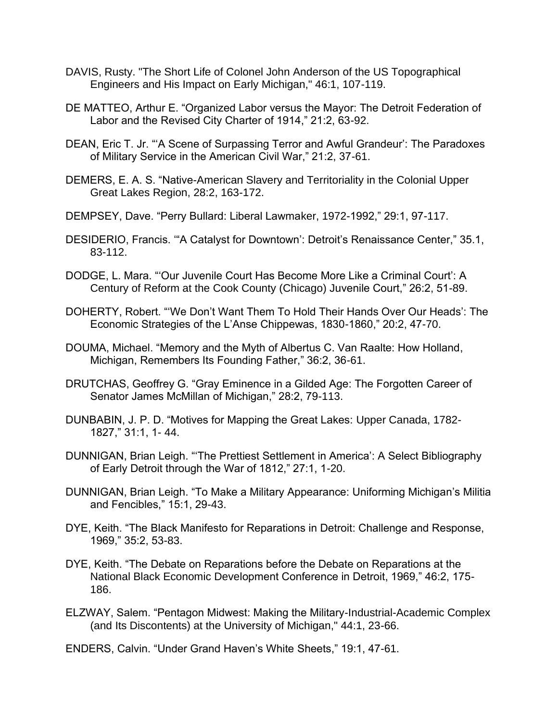- DAVIS, Rusty. "The Short Life of Colonel John Anderson of the US Topographical Engineers and His Impact on Early Michigan," 46:1, 107-119.
- DE MATTEO, Arthur E. "Organized Labor versus the Mayor: The Detroit Federation of Labor and the Revised City Charter of 1914," 21:2, 63-92.
- DEAN, Eric T. Jr. "'A Scene of Surpassing Terror and Awful Grandeur': The Paradoxes of Military Service in the American Civil War," 21:2, 37-61.
- DEMERS, E. A. S. "Native-American Slavery and Territoriality in the Colonial Upper Great Lakes Region, 28:2, 163-172.
- DEMPSEY, Dave. "Perry Bullard: Liberal Lawmaker, 1972-1992," 29:1, 97-117.
- DESIDERIO, Francis. '"A Catalyst for Downtown': Detroit's Renaissance Center," 35.1, 83-112.
- DODGE, L. Mara. "'Our Juvenile Court Has Become More Like a Criminal Court': A Century of Reform at the Cook County (Chicago) Juvenile Court," 26:2, 51-89.
- DOHERTY, Robert. "'We Don't Want Them To Hold Their Hands Over Our Heads': The Economic Strategies of the L'Anse Chippewas, 1830-1860," 20:2, 47-70.
- DOUMA, Michael. "Memory and the Myth of Albertus C. Van Raalte: How Holland, Michigan, Remembers Its Founding Father," 36:2, 36-61.
- DRUTCHAS, Geoffrey G. "Gray Eminence in a Gilded Age: The Forgotten Career of Senator James McMillan of Michigan," 28:2, 79-113.
- DUNBABIN, J. P. D. "Motives for Mapping the Great Lakes: Upper Canada, 1782- 1827," 31:1, 1- 44.
- DUNNIGAN, Brian Leigh. "'The Prettiest Settlement in America': A Select Bibliography of Early Detroit through the War of 1812," 27:1, 1-20.
- DUNNIGAN, Brian Leigh. "To Make a Military Appearance: Uniforming Michigan's Militia and Fencibles," 15:1, 29-43.
- DYE, Keith. "The Black Manifesto for Reparations in Detroit: Challenge and Response, 1969," 35:2, 53-83.
- DYE, Keith. "The Debate on Reparations before the Debate on Reparations at the National Black Economic Development Conference in Detroit, 1969," 46:2, 175- 186.
- ELZWAY, Salem. "Pentagon Midwest: Making the Military-Industrial-Academic Complex (and Its Discontents) at the University of Michigan," 44:1, 23-66.
- ENDERS, Calvin. "Under Grand Haven's White Sheets," 19:1, 47-61.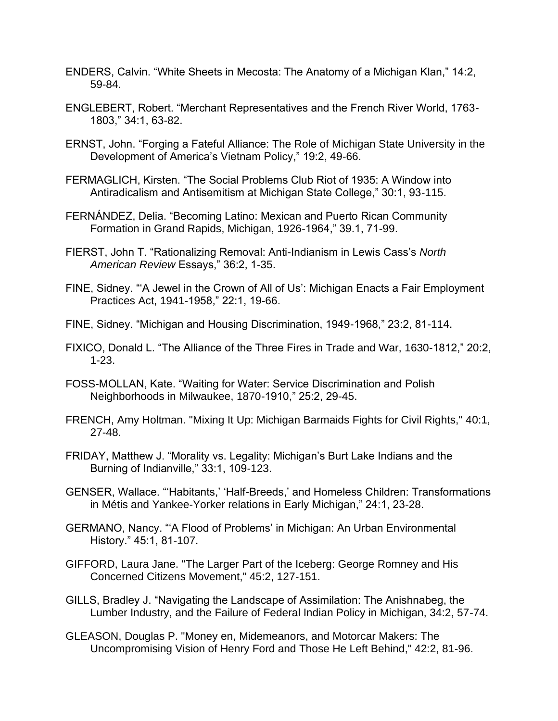- ENDERS, Calvin. "White Sheets in Mecosta: The Anatomy of a Michigan Klan," 14:2, 59-84.
- ENGLEBERT, Robert. "Merchant Representatives and the French River World, 1763- 1803," 34:1, 63-82.
- ERNST, John. "Forging a Fateful Alliance: The Role of Michigan State University in the Development of America's Vietnam Policy," 19:2, 49-66.
- FERMAGLICH, Kirsten. "The Social Problems Club Riot of 1935: A Window into Antiradicalism and Antisemitism at Michigan State College," 30:1, 93-115.
- FERNÁNDEZ, Delia. "Becoming Latino: Mexican and Puerto Rican Community Formation in Grand Rapids, Michigan, 1926-1964," 39.1, 71-99.
- FIERST, John T. "Rationalizing Removal: Anti-Indianism in Lewis Cass's *North American Review* Essays," 36:2, 1-35.
- FINE, Sidney. "'A Jewel in the Crown of All of Us': Michigan Enacts a Fair Employment Practices Act, 1941-1958," 22:1, 19-66.
- FINE, Sidney. "Michigan and Housing Discrimination, 1949-1968," 23:2, 81-114.
- FIXICO, Donald L. "The Alliance of the Three Fires in Trade and War, 1630-1812," 20:2, 1-23.
- FOSS-MOLLAN, Kate. "Waiting for Water: Service Discrimination and Polish Neighborhoods in Milwaukee, 1870-1910," 25:2, 29-45.
- FRENCH, Amy Holtman. "Mixing It Up: Michigan Barmaids Fights for Civil Rights," 40:1, 27-48.
- FRIDAY, Matthew J. "Morality vs. Legality: Michigan's Burt Lake Indians and the Burning of Indianville," 33:1, 109-123.
- GENSER, Wallace. "'Habitants,' 'Half-Breeds,' and Homeless Children: Transformations in Métis and Yankee-Yorker relations in Early Michigan," 24:1, 23-28.
- GERMANO, Nancy. "'A Flood of Problems' in Michigan: An Urban Environmental History." 45:1, 81-107.
- GIFFORD, Laura Jane. "The Larger Part of the Iceberg: George Romney and His Concerned Citizens Movement," 45:2, 127-151.
- GILLS, Bradley J. "Navigating the Landscape of Assimilation: The Anishnabeg, the Lumber Industry, and the Failure of Federal Indian Policy in Michigan, 34:2, 57-74.
- GLEASON, Douglas P. "Money en, Midemeanors, and Motorcar Makers: The Uncompromising Vision of Henry Ford and Those He Left Behind," 42:2, 81-96.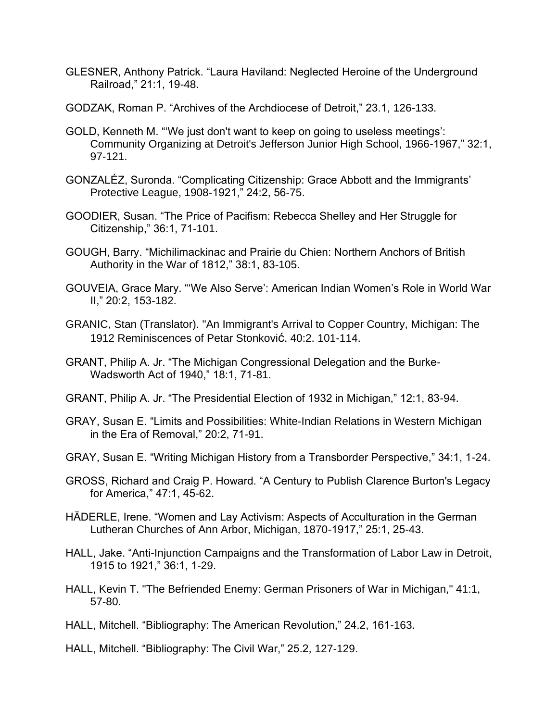- GLESNER, Anthony Patrick. "Laura Haviland: Neglected Heroine of the Underground Railroad," 21:1, 19-48.
- GODZAK, Roman P. "Archives of the Archdiocese of Detroit," 23.1, 126-133.
- GOLD, Kenneth M. "'We just don't want to keep on going to useless meetings': Community Organizing at Detroit's Jefferson Junior High School, 1966-1967," 32:1, 97-121.
- GONZALÉZ, Suronda. "Complicating Citizenship: Grace Abbott and the Immigrants' Protective League, 1908-1921," 24:2, 56-75.
- GOODIER, Susan. "The Price of Pacifism: Rebecca Shelley and Her Struggle for Citizenship," 36:1, 71-101.
- GOUGH, Barry. "Michilimackinac and Prairie du Chien: Northern Anchors of British Authority in the War of 1812," 38:1, 83-105.
- GOUVEIA, Grace Mary. "'We Also Serve': American Indian Women's Role in World War II," 20:2, 153-182.
- GRANIC, Stan (Translator). "An Immigrant's Arrival to Copper Country, Michigan: The 1912 Reminiscences of Petar Stonković. 40:2. 101-114.
- GRANT, Philip A. Jr. "The Michigan Congressional Delegation and the Burke-Wadsworth Act of 1940," 18:1, 71-81.
- GRANT, Philip A. Jr. "The Presidential Election of 1932 in Michigan," 12:1, 83-94.
- GRAY, Susan E. "Limits and Possibilities: White-Indian Relations in Western Michigan in the Era of Removal," 20:2, 71-91.
- GRAY, Susan E. "Writing Michigan History from a Transborder Perspective," 34:1, 1-24.
- GROSS, Richard and Craig P. Howard. "A Century to Publish Clarence Burton's Legacy for America," 47:1, 45-62.
- HÄDERLE, Irene. "Women and Lay Activism: Aspects of Acculturation in the German Lutheran Churches of Ann Arbor, Michigan, 1870-1917," 25:1, 25-43.
- HALL, Jake. "Anti-Injunction Campaigns and the Transformation of Labor Law in Detroit, 1915 to 1921," 36:1, 1-29.
- HALL, Kevin T. "The Befriended Enemy: German Prisoners of War in Michigan," 41:1, 57-80.
- HALL, Mitchell. "Bibliography: The American Revolution," 24.2, 161-163.
- HALL, Mitchell. "Bibliography: The Civil War," 25.2, 127-129.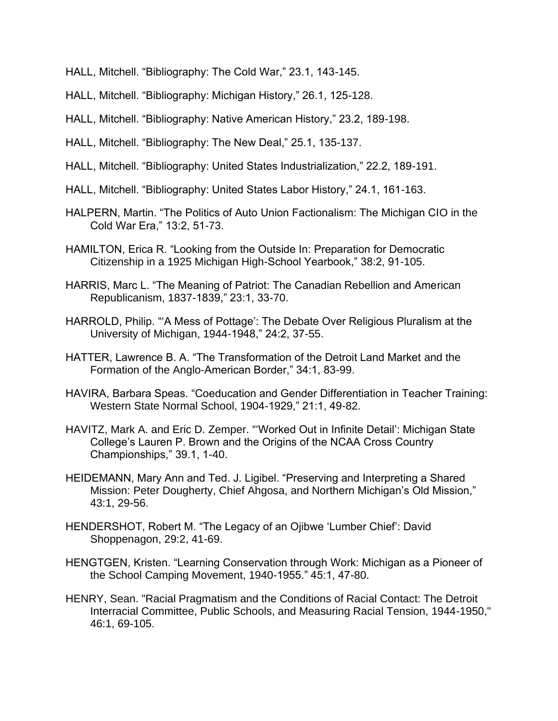- HALL, Mitchell. "Bibliography: The Cold War," 23.1, 143-145.
- HALL, Mitchell. "Bibliography: Michigan History," 26.1, 125-128.
- HALL, Mitchell. "Bibliography: Native American History," 23.2, 189-198.
- HALL, Mitchell. "Bibliography: The New Deal," 25.1, 135-137.
- HALL, Mitchell. "Bibliography: United States Industrialization," 22.2, 189-191.
- HALL, Mitchell. "Bibliography: United States Labor History," 24.1, 161-163.
- HALPERN, Martin. "The Politics of Auto Union Factionalism: The Michigan CIO in the Cold War Era," 13:2, 51-73.
- HAMILTON, Erica R. "Looking from the Outside In: Preparation for Democratic Citizenship in a 1925 Michigan High-School Yearbook," 38:2, 91-105.
- HARRIS, Marc L. "The Meaning of Patriot: The Canadian Rebellion and American Republicanism, 1837-1839," 23:1, 33-70.
- HARROLD, Philip. "'A Mess of Pottage': The Debate Over Religious Pluralism at the University of Michigan, 1944-1948," 24:2, 37-55.
- HATTER, Lawrence B. A. "The Transformation of the Detroit Land Market and the Formation of the Anglo-American Border," 34:1, 83-99.
- HAVIRA, Barbara Speas. "Coeducation and Gender Differentiation in Teacher Training: Western State Normal School, 1904-1929," 21:1, 49-82.
- HAVITZ, Mark A. and Eric D. Zemper. "'Worked Out in Infinite Detail': Michigan State College's Lauren P. Brown and the Origins of the NCAA Cross Country Championships," 39.1, 1-40.
- HEIDEMANN, Mary Ann and Ted. J. Ligibel. "Preserving and Interpreting a Shared Mission: Peter Dougherty, Chief Ahgosa, and Northern Michigan's Old Mission," 43:1, 29-56.
- HENDERSHOT, Robert M. "The Legacy of an Ojibwe 'Lumber Chief': David Shoppenagon, 29:2, 41-69.
- HENGTGEN, Kristen. "Learning Conservation through Work: Michigan as a Pioneer of the School Camping Movement, 1940-1955." 45:1, 47-80.
- HENRY, Sean. "Racial Pragmatism and the Conditions of Racial Contact: The Detroit Interracial Committee, Public Schools, and Measuring Racial Tension, 1944-1950," 46:1, 69-105.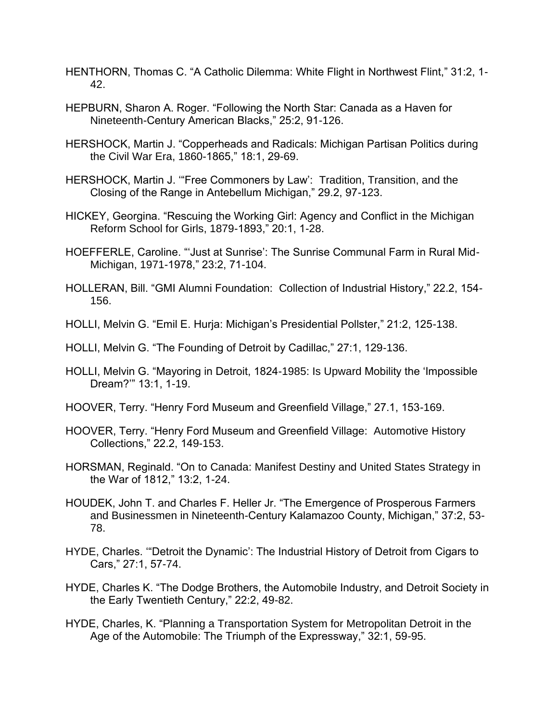- HENTHORN, Thomas C. "A Catholic Dilemma: White Flight in Northwest Flint," 31:2, 1- 42.
- HEPBURN, Sharon A. Roger. "Following the North Star: Canada as a Haven for Nineteenth-Century American Blacks," 25:2, 91-126.
- HERSHOCK, Martin J. "Copperheads and Radicals: Michigan Partisan Politics during the Civil War Era, 1860-1865," 18:1, 29-69.
- HERSHOCK, Martin J. '"Free Commoners by Law': Tradition, Transition, and the Closing of the Range in Antebellum Michigan," 29.2, 97-123.
- HICKEY, Georgina. "Rescuing the Working Girl: Agency and Conflict in the Michigan Reform School for Girls, 1879-1893," 20:1, 1-28.
- HOEFFERLE, Caroline. "'Just at Sunrise': The Sunrise Communal Farm in Rural Mid-Michigan, 1971-1978," 23:2, 71-104.
- HOLLERAN, Bill. "GMI Alumni Foundation: Collection of Industrial History," 22.2, 154- 156.
- HOLLI, Melvin G. "Emil E. Hurja: Michigan's Presidential Pollster," 21:2, 125-138.
- HOLLI, Melvin G. "The Founding of Detroit by Cadillac," 27:1, 129-136.
- HOLLI, Melvin G. "Mayoring in Detroit, 1824-1985: Is Upward Mobility the 'Impossible Dream?'" 13:1, 1-19.
- HOOVER, Terry. "Henry Ford Museum and Greenfield Village," 27.1, 153-169.
- HOOVER, Terry. "Henry Ford Museum and Greenfield Village: Automotive History Collections," 22.2, 149-153.
- HORSMAN, Reginald. "On to Canada: Manifest Destiny and United States Strategy in the War of 1812," 13:2, 1-24.
- HOUDEK, John T. and Charles F. Heller Jr. "The Emergence of Prosperous Farmers and Businessmen in Nineteenth-Century Kalamazoo County, Michigan," 37:2, 53- 78.
- HYDE, Charles. '"Detroit the Dynamic': The Industrial History of Detroit from Cigars to Cars," 27:1, 57-74.
- HYDE, Charles K. "The Dodge Brothers, the Automobile Industry, and Detroit Society in the Early Twentieth Century," 22:2, 49-82.
- HYDE, Charles, K. "Planning a Transportation System for Metropolitan Detroit in the Age of the Automobile: The Triumph of the Expressway," 32:1, 59-95.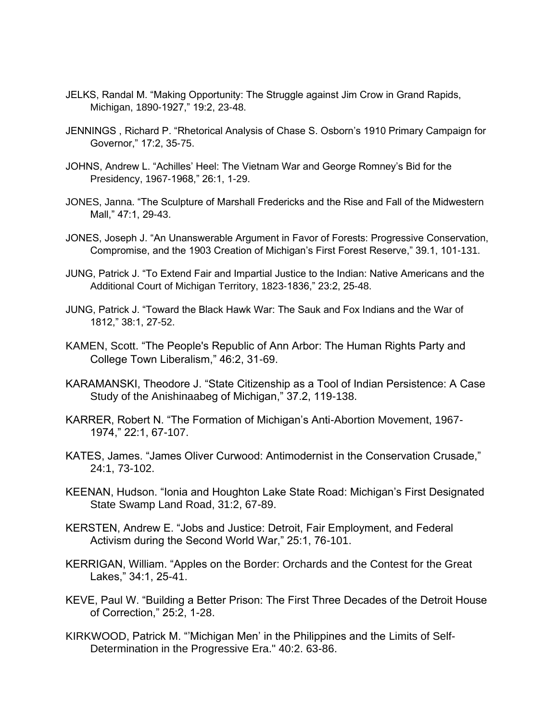- JELKS, Randal M. "Making Opportunity: The Struggle against Jim Crow in Grand Rapids, Michigan, 1890-1927," 19:2, 23-48.
- JENNINGS , Richard P. "Rhetorical Analysis of Chase S. Osborn's 1910 Primary Campaign for Governor," 17:2, 35-75.
- JOHNS, Andrew L. "Achilles' Heel: The Vietnam War and George Romney's Bid for the Presidency, 1967-1968," 26:1, 1-29.
- JONES, Janna. "The Sculpture of Marshall Fredericks and the Rise and Fall of the Midwestern Mall," 47:1, 29-43.
- JONES, Joseph J. "An Unanswerable Argument in Favor of Forests: Progressive Conservation, Compromise, and the 1903 Creation of Michigan's First Forest Reserve," 39.1, 101-131.
- JUNG, Patrick J. "To Extend Fair and Impartial Justice to the Indian: Native Americans and the Additional Court of Michigan Territory, 1823-1836," 23:2, 25-48.
- JUNG, Patrick J. "Toward the Black Hawk War: The Sauk and Fox Indians and the War of 1812," 38:1, 27-52.
- KAMEN, Scott. "The People's Republic of Ann Arbor: The Human Rights Party and College Town Liberalism," 46:2, 31-69.
- KARAMANSKI, Theodore J. "State Citizenship as a Tool of Indian Persistence: A Case Study of the Anishinaabeg of Michigan," 37.2, 119-138.
- KARRER, Robert N. "The Formation of Michigan's Anti-Abortion Movement, 1967- 1974," 22:1, 67-107.
- KATES, James. "James Oliver Curwood: Antimodernist in the Conservation Crusade," 24:1, 73-102.
- KEENAN, Hudson. "Ionia and Houghton Lake State Road: Michigan's First Designated State Swamp Land Road, 31:2, 67-89.
- KERSTEN, Andrew E. "Jobs and Justice: Detroit, Fair Employment, and Federal Activism during the Second World War," 25:1, 76-101.
- KERRIGAN, William. "Apples on the Border: Orchards and the Contest for the Great Lakes," 34:1, 25-41.
- KEVE, Paul W. "Building a Better Prison: The First Three Decades of the Detroit House of Correction," 25:2, 1-28.
- KIRKWOOD, Patrick M. "'Michigan Men' in the Philippines and the Limits of Self-Determination in the Progressive Era." 40:2. 63-86.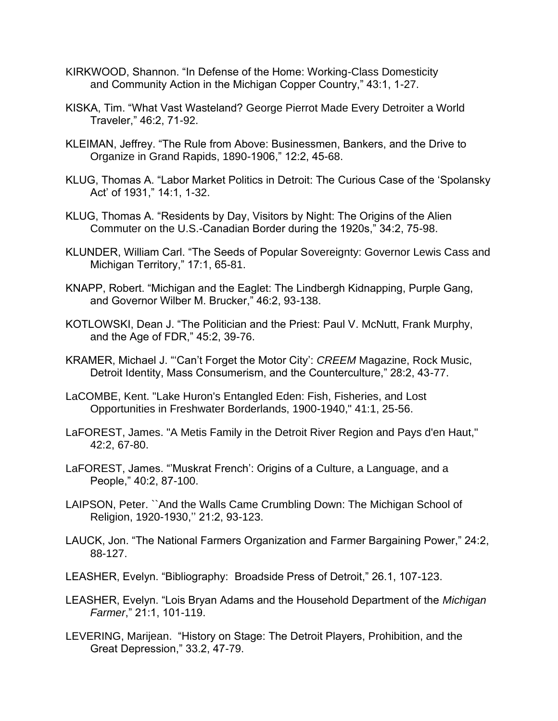- KIRKWOOD, Shannon. "In Defense of the Home: Working-Class Domesticity and Community Action in the Michigan Copper Country," 43:1, 1-27.
- KISKA, Tim. "What Vast Wasteland? George Pierrot Made Every Detroiter a World Traveler," 46:2, 71-92.
- KLEIMAN, Jeffrey. "The Rule from Above: Businessmen, Bankers, and the Drive to Organize in Grand Rapids, 1890-1906," 12:2, 45-68.
- KLUG, Thomas A. "Labor Market Politics in Detroit: The Curious Case of the 'Spolansky Act' of 1931," 14:1, 1-32.
- KLUG, Thomas A. "Residents by Day, Visitors by Night: The Origins of the Alien Commuter on the U.S.-Canadian Border during the 1920s," 34:2, 75-98.
- KLUNDER, William Carl. "The Seeds of Popular Sovereignty: Governor Lewis Cass and Michigan Territory," 17:1, 65-81.
- KNAPP, Robert. "Michigan and the Eaglet: The Lindbergh Kidnapping, Purple Gang, and Governor Wilber M. Brucker," 46:2, 93-138.
- KOTLOWSKI, Dean J. "The Politician and the Priest: Paul V. McNutt, Frank Murphy, and the Age of FDR," 45:2, 39-76.
- KRAMER, Michael J. "'Can't Forget the Motor City': *CREEM* Magazine, Rock Music, Detroit Identity, Mass Consumerism, and the Counterculture," 28:2, 43-77.
- LaCOMBE, Kent. "Lake Huron's Entangled Eden: Fish, Fisheries, and Lost Opportunities in Freshwater Borderlands, 1900-1940," 41:1, 25-56.
- LaFOREST, James. "A Metis Family in the Detroit River Region and Pays d'en Haut," 42:2, 67-80.
- LaFOREST, James. "'Muskrat French': Origins of a Culture, a Language, and a People," 40:2, 87-100.
- LAIPSON, Peter. ``And the Walls Came Crumbling Down: The Michigan School of Religion, 1920-1930,'' 21:2, 93-123.
- LAUCK, Jon. "The National Farmers Organization and Farmer Bargaining Power," 24:2, 88-127.
- LEASHER, Evelyn. "Bibliography: Broadside Press of Detroit," 26.1, 107-123.
- LEASHER, Evelyn. "Lois Bryan Adams and the Household Department of the *Michigan Farmer*," 21:1, 101-119.
- LEVERING, Marijean. "History on Stage: The Detroit Players, Prohibition, and the Great Depression," 33.2, 47-79.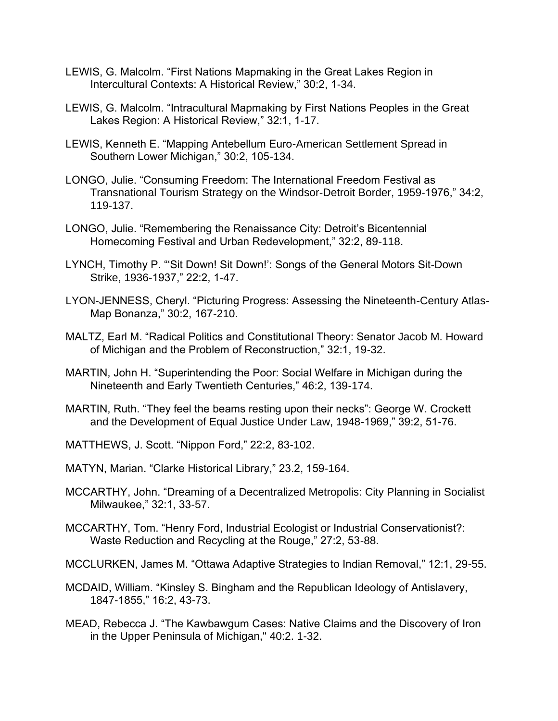- LEWIS, G. Malcolm. "First Nations Mapmaking in the Great Lakes Region in Intercultural Contexts: A Historical Review," 30:2, 1-34.
- LEWIS, G. Malcolm. "Intracultural Mapmaking by First Nations Peoples in the Great Lakes Region: A Historical Review," 32:1, 1-17.
- LEWIS, Kenneth E. "Mapping Antebellum Euro-American Settlement Spread in Southern Lower Michigan," 30:2, 105-134.
- LONGO, Julie. "Consuming Freedom: The International Freedom Festival as Transnational Tourism Strategy on the Windsor-Detroit Border, 1959-1976," 34:2, 119-137.
- LONGO, Julie. "Remembering the Renaissance City: Detroit's Bicentennial Homecoming Festival and Urban Redevelopment," 32:2, 89-118.
- LYNCH, Timothy P. "'Sit Down! Sit Down!': Songs of the General Motors Sit-Down Strike, 1936-1937," 22:2, 1-47.
- LYON-JENNESS, Cheryl. "Picturing Progress: Assessing the Nineteenth-Century Atlas-Map Bonanza," 30:2, 167-210.
- MALTZ, Earl M. "Radical Politics and Constitutional Theory: Senator Jacob M. Howard of Michigan and the Problem of Reconstruction," 32:1, 19-32.
- MARTIN, John H. "Superintending the Poor: Social Welfare in Michigan during the Nineteenth and Early Twentieth Centuries," 46:2, 139-174.
- MARTIN, Ruth. "They feel the beams resting upon their necks": George W. Crockett and the Development of Equal Justice Under Law, 1948-1969," 39:2, 51-76.
- MATTHEWS, J. Scott. "Nippon Ford," 22:2, 83-102.
- MATYN, Marian. "Clarke Historical Library," 23.2, 159-164.
- MCCARTHY, John. "Dreaming of a Decentralized Metropolis: City Planning in Socialist Milwaukee," 32:1, 33-57.
- MCCARTHY, Tom. "Henry Ford, Industrial Ecologist or Industrial Conservationist?: Waste Reduction and Recycling at the Rouge," 27:2, 53-88.
- MCCLURKEN, James M. "Ottawa Adaptive Strategies to Indian Removal," 12:1, 29-55.
- MCDAID, William. "Kinsley S. Bingham and the Republican Ideology of Antislavery, 1847-1855," 16:2, 43-73.
- MEAD, Rebecca J. "The Kawbawgum Cases: Native Claims and the Discovery of Iron in the Upper Peninsula of Michigan," 40:2. 1-32.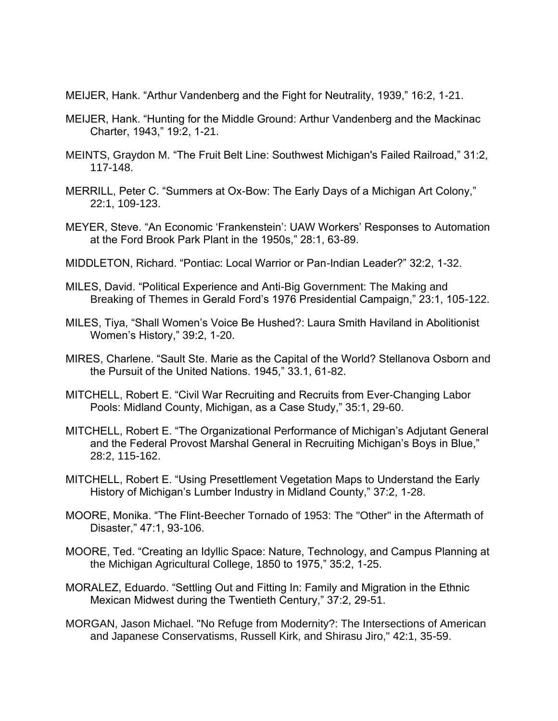MEIJER, Hank. "Arthur Vandenberg and the Fight for Neutrality, 1939," 16:2, 1-21.

- MEIJER, Hank. "Hunting for the Middle Ground: Arthur Vandenberg and the Mackinac Charter, 1943," 19:2, 1-21.
- MEINTS, Graydon M. "The Fruit Belt Line: Southwest Michigan's Failed Railroad," 31:2, 117-148.
- MERRILL, Peter C. "Summers at Ox-Bow: The Early Days of a Michigan Art Colony," 22:1, 109-123.
- MEYER, Steve. "An Economic 'Frankenstein': UAW Workers' Responses to Automation at the Ford Brook Park Plant in the 1950s," 28:1, 63-89.
- MIDDLETON, Richard. "Pontiac: Local Warrior or Pan-Indian Leader?" 32:2, 1-32.
- MILES, David. "Political Experience and Anti-Big Government: The Making and Breaking of Themes in Gerald Ford's 1976 Presidential Campaign," 23:1, 105-122.
- MILES, Tiya, "Shall Women's Voice Be Hushed?: Laura Smith Haviland in Abolitionist Women's History," 39:2, 1-20.
- MIRES, Charlene. "Sault Ste. Marie as the Capital of the World? Stellanova Osborn and the Pursuit of the United Nations. 1945," 33.1, 61-82.
- MITCHELL, Robert E. "Civil War Recruiting and Recruits from Ever-Changing Labor Pools: Midland County, Michigan, as a Case Study," 35:1, 29-60.
- MITCHELL, Robert E. "The Organizational Performance of Michigan's Adjutant General and the Federal Provost Marshal General in Recruiting Michigan's Boys in Blue," 28:2, 115-162.
- MITCHELL, Robert E. "Using Presettlement Vegetation Maps to Understand the Early History of Michigan's Lumber Industry in Midland County," 37:2, 1-28.
- MOORE, Monika. "The Flint-Beecher Tornado of 1953: The "Other" in the Aftermath of Disaster," 47:1, 93-106.
- MOORE, Ted. "Creating an Idyllic Space: Nature, Technology, and Campus Planning at the Michigan Agricultural College, 1850 to 1975," 35:2, 1-25.
- MORALEZ, Eduardo. "Settling Out and Fitting In: Family and Migration in the Ethnic Mexican Midwest during the Twentieth Century," 37:2, 29-51.
- MORGAN, Jason Michael. "No Refuge from Modernity?: The Intersections of American and Japanese Conservatisms, Russell Kirk, and Shirasu Jiro," 42:1, 35-59.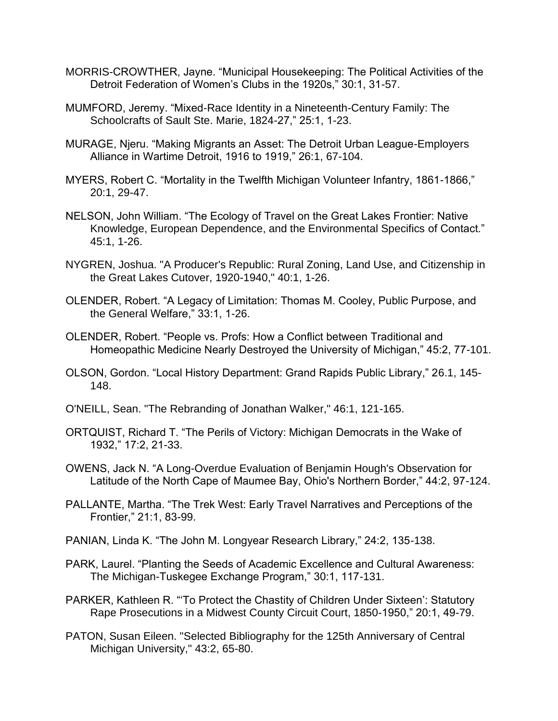- MORRIS-CROWTHER, Jayne. "Municipal Housekeeping: The Political Activities of the Detroit Federation of Women's Clubs in the 1920s," 30:1, 31-57.
- MUMFORD, Jeremy. "Mixed-Race Identity in a Nineteenth-Century Family: The Schoolcrafts of Sault Ste. Marie, 1824-27," 25:1, 1-23.
- MURAGE, Njeru. "Making Migrants an Asset: The Detroit Urban League-Employers Alliance in Wartime Detroit, 1916 to 1919," 26:1, 67-104.
- MYERS, Robert C. "Mortality in the Twelfth Michigan Volunteer Infantry, 1861-1866," 20:1, 29-47.
- NELSON, John William. "The Ecology of Travel on the Great Lakes Frontier: Native Knowledge, European Dependence, and the Environmental Specifics of Contact." 45:1, 1-26.
- NYGREN, Joshua. "A Producer's Republic: Rural Zoning, Land Use, and Citizenship in the Great Lakes Cutover, 1920-1940," 40:1, 1-26.
- OLENDER, Robert. "A Legacy of Limitation: Thomas M. Cooley, Public Purpose, and the General Welfare," 33:1, 1-26.
- OLENDER, Robert. "People vs. Profs: How a Conflict between Traditional and Homeopathic Medicine Nearly Destroyed the University of Michigan," 45:2, 77-101.
- OLSON, Gordon. "Local History Department: Grand Rapids Public Library," 26.1, 145- 148.
- O'NEILL, Sean. "The Rebranding of Jonathan Walker," 46:1, 121-165.
- ORTQUIST, Richard T. "The Perils of Victory: Michigan Democrats in the Wake of 1932," 17:2, 21-33.
- OWENS, Jack N. "A Long-Overdue Evaluation of Benjamin Hough's Observation for Latitude of the North Cape of Maumee Bay, Ohio's Northern Border," 44:2, 97-124.
- PALLANTE, Martha. "The Trek West: Early Travel Narratives and Perceptions of the Frontier," 21:1, 83-99.
- PANIAN, Linda K. "The John M. Longyear Research Library," 24:2, 135-138.
- PARK, Laurel. "Planting the Seeds of Academic Excellence and Cultural Awareness: The Michigan-Tuskegee Exchange Program," 30:1, 117-131.
- PARKER, Kathleen R. "'To Protect the Chastity of Children Under Sixteen': Statutory Rape Prosecutions in a Midwest County Circuit Court, 1850-1950," 20:1, 49-79.
- PATON, Susan Eileen. "Selected Bibliography for the 125th Anniversary of Central Michigan University," 43:2, 65-80.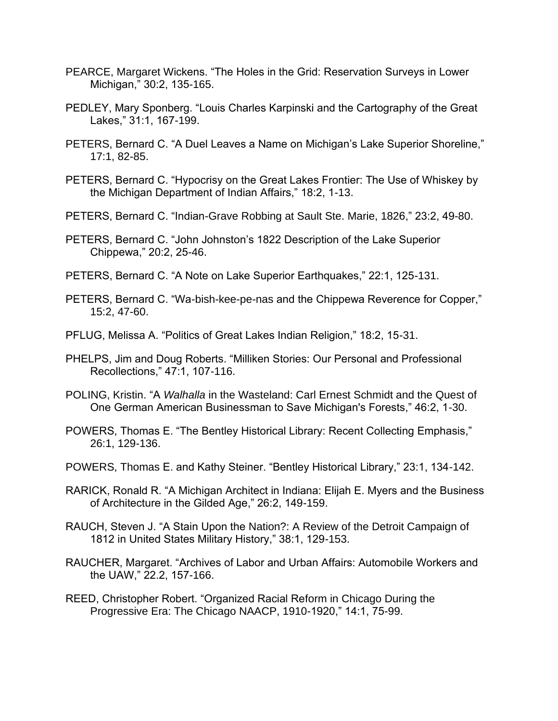- PEARCE, Margaret Wickens. "The Holes in the Grid: Reservation Surveys in Lower Michigan," 30:2, 135-165.
- PEDLEY, Mary Sponberg. "Louis Charles Karpinski and the Cartography of the Great Lakes," 31:1, 167-199.
- PETERS, Bernard C. "A Duel Leaves a Name on Michigan's Lake Superior Shoreline," 17:1, 82-85.
- PETERS, Bernard C. "Hypocrisy on the Great Lakes Frontier: The Use of Whiskey by the Michigan Department of Indian Affairs," 18:2, 1-13.
- PETERS, Bernard C. "Indian-Grave Robbing at Sault Ste. Marie, 1826," 23:2, 49-80.
- PETERS, Bernard C. "John Johnston's 1822 Description of the Lake Superior Chippewa," 20:2, 25-46.
- PETERS, Bernard C. "A Note on Lake Superior Earthquakes," 22:1, 125-131.
- PETERS, Bernard C. "Wa-bish-kee-pe-nas and the Chippewa Reverence for Copper," 15:2, 47-60.
- PFLUG, Melissa A. "Politics of Great Lakes Indian Religion," 18:2, 15-31.
- PHELPS, Jim and Doug Roberts. "Milliken Stories: Our Personal and Professional Recollections," 47:1, 107-116.
- POLING, Kristin. "A *Walhalla* in the Wasteland: Carl Ernest Schmidt and the Quest of One German American Businessman to Save Michigan's Forests," 46:2, 1-30.
- POWERS, Thomas E. "The Bentley Historical Library: Recent Collecting Emphasis," 26:1, 129-136.
- POWERS, Thomas E. and Kathy Steiner. "Bentley Historical Library," 23:1, 134-142.
- RARICK, Ronald R. "A Michigan Architect in Indiana: Elijah E. Myers and the Business of Architecture in the Gilded Age," 26:2, 149-159.
- RAUCH, Steven J. "A Stain Upon the Nation?: A Review of the Detroit Campaign of 1812 in United States Military History," 38:1, 129-153.
- RAUCHER, Margaret. "Archives of Labor and Urban Affairs: Automobile Workers and the UAW," 22.2, 157-166.
- REED, Christopher Robert. "Organized Racial Reform in Chicago During the Progressive Era: The Chicago NAACP, 1910-1920," 14:1, 75-99.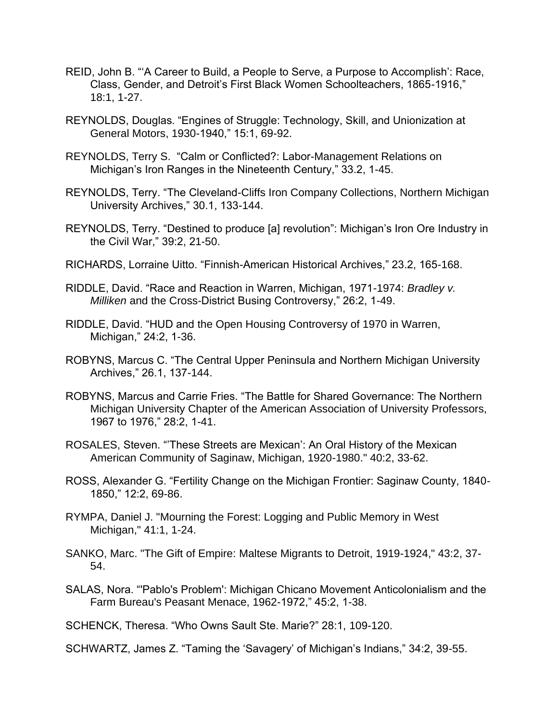- REID, John B. "'A Career to Build, a People to Serve, a Purpose to Accomplish': Race, Class, Gender, and Detroit's First Black Women Schoolteachers, 1865-1916," 18:1, 1-27.
- REYNOLDS, Douglas. "Engines of Struggle: Technology, Skill, and Unionization at General Motors, 1930-1940," 15:1, 69-92.
- REYNOLDS, Terry S. "Calm or Conflicted?: Labor-Management Relations on Michigan's Iron Ranges in the Nineteenth Century," 33.2, 1-45.
- REYNOLDS, Terry. "The Cleveland-Cliffs Iron Company Collections, Northern Michigan University Archives," 30.1, 133-144.
- REYNOLDS, Terry. "Destined to produce [a] revolution": Michigan's Iron Ore Industry in the Civil War," 39:2, 21-50.
- RICHARDS, Lorraine Uitto. "Finnish-American Historical Archives," 23.2, 165-168.
- RIDDLE, David. "Race and Reaction in Warren, Michigan, 1971-1974: *Bradley v. Milliken* and the Cross-District Busing Controversy," 26:2, 1-49.
- RIDDLE, David. "HUD and the Open Housing Controversy of 1970 in Warren, Michigan," 24:2, 1-36.
- ROBYNS, Marcus C. "The Central Upper Peninsula and Northern Michigan University Archives," 26.1, 137-144.
- ROBYNS, Marcus and Carrie Fries. "The Battle for Shared Governance: The Northern Michigan University Chapter of the American Association of University Professors, 1967 to 1976," 28:2, 1-41.
- ROSALES, Steven. "'These Streets are Mexican': An Oral History of the Mexican American Community of Saginaw, Michigan, 1920-1980." 40:2, 33-62.
- ROSS, Alexander G. "Fertility Change on the Michigan Frontier: Saginaw County, 1840- 1850," 12:2, 69-86.
- RYMPA, Daniel J. "Mourning the Forest: Logging and Public Memory in West Michigan," 41:1, 1-24.
- SANKO, Marc. "The Gift of Empire: Maltese Migrants to Detroit, 1919-1924," 43:2, 37- 54.
- SALAS, Nora. "'Pablo's Problem': Michigan Chicano Movement Anticolonialism and the Farm Bureau's Peasant Menace, 1962-1972," 45:2, 1-38.

SCHENCK, Theresa. "Who Owns Sault Ste. Marie?" 28:1, 109-120.

SCHWARTZ, James Z. "Taming the 'Savagery' of Michigan's Indians," 34:2, 39-55.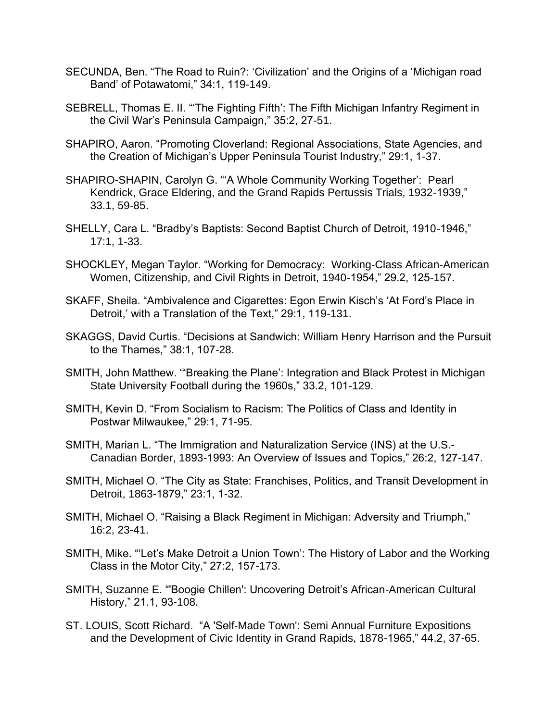- SECUNDA, Ben. "The Road to Ruin?: 'Civilization' and the Origins of a 'Michigan road Band' of Potawatomi," 34:1, 119-149.
- SEBRELL, Thomas E. II. "'The Fighting Fifth': The Fifth Michigan Infantry Regiment in the Civil War's Peninsula Campaign," 35:2, 27-51.
- SHAPIRO, Aaron. "Promoting Cloverland: Regional Associations, State Agencies, and the Creation of Michigan's Upper Peninsula Tourist Industry," 29:1, 1-37.
- SHAPIRO-SHAPIN, Carolyn G. "'A Whole Community Working Together': Pearl Kendrick, Grace Eldering, and the Grand Rapids Pertussis Trials, 1932-1939," 33.1, 59-85.
- SHELLY, Cara L. "Bradby's Baptists: Second Baptist Church of Detroit, 1910-1946," 17:1, 1-33.
- SHOCKLEY, Megan Taylor. "Working for Democracy: Working-Class African-American Women, Citizenship, and Civil Rights in Detroit, 1940-1954," 29.2, 125-157.
- SKAFF, Sheila. "Ambivalence and Cigarettes: Egon Erwin Kisch's 'At Ford's Place in Detroit,' with a Translation of the Text," 29:1, 119-131.
- SKAGGS, David Curtis. "Decisions at Sandwich: William Henry Harrison and the Pursuit to the Thames," 38:1, 107-28.
- SMITH, John Matthew. '"Breaking the Plane': Integration and Black Protest in Michigan State University Football during the 1960s," 33.2, 101-129.
- SMITH, Kevin D. "From Socialism to Racism: The Politics of Class and Identity in Postwar Milwaukee," 29:1, 71-95.
- SMITH, Marian L. "The Immigration and Naturalization Service (INS) at the U.S.- Canadian Border, 1893-1993: An Overview of Issues and Topics," 26:2, 127-147.
- SMITH, Michael O. "The City as State: Franchises, Politics, and Transit Development in Detroit, 1863-1879," 23:1, 1-32.
- SMITH, Michael O. "Raising a Black Regiment in Michigan: Adversity and Triumph," 16:2, 23-41.
- SMITH, Mike. "'Let's Make Detroit a Union Town': The History of Labor and the Working Class in the Motor City," 27:2, 157-173.
- SMITH, Suzanne E. "'Boogie Chillen': Uncovering Detroit's African-American Cultural History," 21.1, 93-108.
- ST. LOUIS, Scott Richard. "A 'Self-Made Town': Semi Annual Furniture Expositions and the Development of Civic Identity in Grand Rapids, 1878-1965," 44.2, 37-65.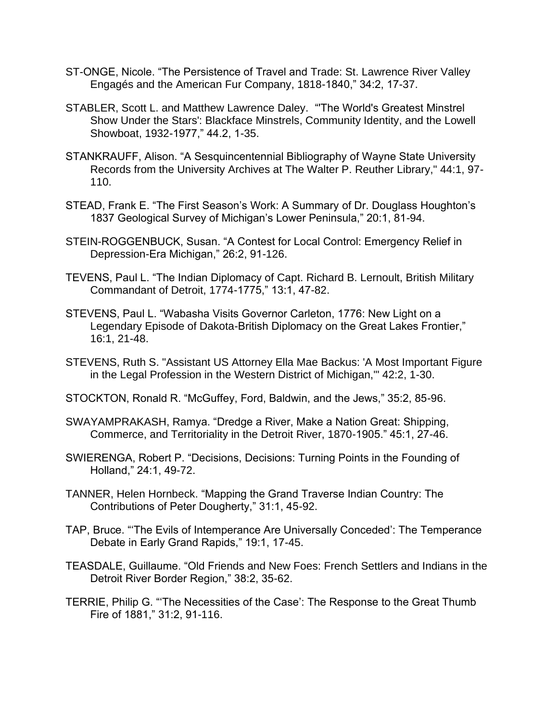- ST-ONGE, Nicole. "The Persistence of Travel and Trade: St. Lawrence River Valley Engagés and the American Fur Company, 1818-1840," 34:2, 17-37.
- STABLER, Scott L. and Matthew Lawrence Daley. "'The World's Greatest Minstrel Show Under the Stars': Blackface Minstrels, Community Identity, and the Lowell Showboat, 1932-1977," 44.2, 1-35.
- STANKRAUFF, Alison. "A Sesquincentennial Bibliography of Wayne State University Records from the University Archives at The Walter P. Reuther Library," 44:1, 97- 110.
- STEAD, Frank E. "The First Season's Work: A Summary of Dr. Douglass Houghton's 1837 Geological Survey of Michigan's Lower Peninsula," 20:1, 81-94.
- STEIN-ROGGENBUCK, Susan. "A Contest for Local Control: Emergency Relief in Depression-Era Michigan," 26:2, 91-126.
- TEVENS, Paul L. "The Indian Diplomacy of Capt. Richard B. Lernoult, British Military Commandant of Detroit, 1774-1775," 13:1, 47-82.
- STEVENS, Paul L. "Wabasha Visits Governor Carleton, 1776: New Light on a Legendary Episode of Dakota-British Diplomacy on the Great Lakes Frontier," 16:1, 21-48.
- STEVENS, Ruth S. "Assistant US Attorney Ella Mae Backus: 'A Most Important Figure in the Legal Profession in the Western District of Michigan,'" 42:2, 1-30.
- STOCKTON, Ronald R. "McGuffey, Ford, Baldwin, and the Jews," 35:2, 85-96.
- SWAYAMPRAKASH, Ramya. "Dredge a River, Make a Nation Great: Shipping, Commerce, and Territoriality in the Detroit River, 1870-1905." 45:1, 27-46.
- SWIERENGA, Robert P. "Decisions, Decisions: Turning Points in the Founding of Holland," 24:1, 49-72.
- TANNER, Helen Hornbeck. "Mapping the Grand Traverse Indian Country: The Contributions of Peter Dougherty," 31:1, 45-92.
- TAP, Bruce. "'The Evils of Intemperance Are Universally Conceded': The Temperance Debate in Early Grand Rapids," 19:1, 17-45.
- TEASDALE, Guillaume. "Old Friends and New Foes: French Settlers and Indians in the Detroit River Border Region," 38:2, 35-62.
- TERRIE, Philip G. "'The Necessities of the Case': The Response to the Great Thumb Fire of 1881," 31:2, 91-116.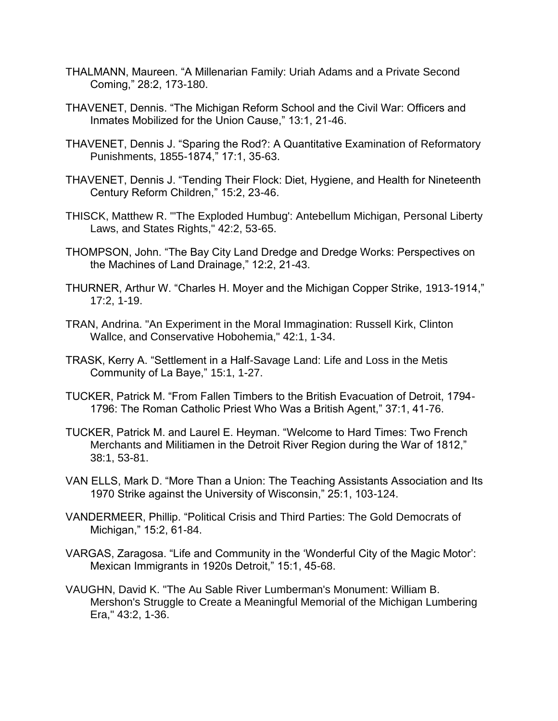- THALMANN, Maureen. "A Millenarian Family: Uriah Adams and a Private Second Coming," 28:2, 173-180.
- THAVENET, Dennis. "The Michigan Reform School and the Civil War: Officers and Inmates Mobilized for the Union Cause," 13:1, 21-46.
- THAVENET, Dennis J. "Sparing the Rod?: A Quantitative Examination of Reformatory Punishments, 1855-1874," 17:1, 35-63.
- THAVENET, Dennis J. "Tending Their Flock: Diet, Hygiene, and Health for Nineteenth Century Reform Children," 15:2, 23-46.
- THISCK, Matthew R. "'The Exploded Humbug': Antebellum Michigan, Personal Liberty Laws, and States Rights," 42:2, 53-65.
- THOMPSON, John. "The Bay City Land Dredge and Dredge Works: Perspectives on the Machines of Land Drainage," 12:2, 21-43.
- THURNER, Arthur W. "Charles H. Moyer and the Michigan Copper Strike, 1913-1914," 17:2, 1-19.
- TRAN, Andrina. "An Experiment in the Moral Immagination: Russell Kirk, Clinton Wallce, and Conservative Hobohemia," 42:1, 1-34.
- TRASK, Kerry A. "Settlement in a Half-Savage Land: Life and Loss in the Metis Community of La Baye," 15:1, 1-27.
- TUCKER, Patrick M. "From Fallen Timbers to the British Evacuation of Detroit, 1794- 1796: The Roman Catholic Priest Who Was a British Agent," 37:1, 41-76.
- TUCKER, Patrick M. and Laurel E. Heyman. "Welcome to Hard Times: Two French Merchants and Militiamen in the Detroit River Region during the War of 1812," 38:1, 53-81.
- VAN ELLS, Mark D. "More Than a Union: The Teaching Assistants Association and Its 1970 Strike against the University of Wisconsin," 25:1, 103-124.
- VANDERMEER, Phillip. "Political Crisis and Third Parties: The Gold Democrats of Michigan," 15:2, 61-84.
- VARGAS, Zaragosa. "Life and Community in the 'Wonderful City of the Magic Motor': Mexican Immigrants in 1920s Detroit," 15:1, 45-68.
- VAUGHN, David K. "The Au Sable River Lumberman's Monument: William B. Mershon's Struggle to Create a Meaningful Memorial of the Michigan Lumbering Era," 43:2, 1-36.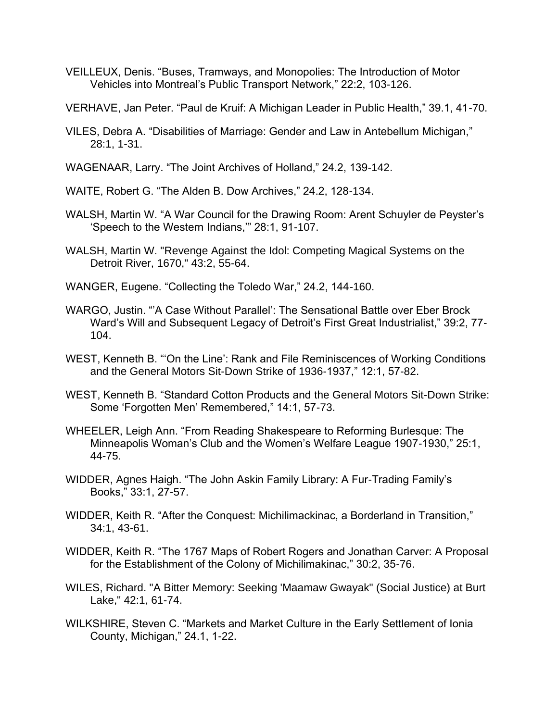- VEILLEUX, Denis. "Buses, Tramways, and Monopolies: The Introduction of Motor Vehicles into Montreal's Public Transport Network," 22:2, 103-126.
- VERHAVE, Jan Peter. "Paul de Kruif: A Michigan Leader in Public Health," 39.1, 41-70.
- VILES, Debra A. "Disabilities of Marriage: Gender and Law in Antebellum Michigan," 28:1, 1-31.
- WAGENAAR, Larry. "The Joint Archives of Holland," 24.2, 139-142.
- WAITE, Robert G. "The Alden B. Dow Archives," 24.2, 128-134.
- WALSH, Martin W. "A War Council for the Drawing Room: Arent Schuyler de Peyster's 'Speech to the Western Indians,'" 28:1, 91-107.
- WALSH, Martin W. "Revenge Against the Idol: Competing Magical Systems on the Detroit River, 1670," 43:2, 55-64.
- WANGER, Eugene. "Collecting the Toledo War," 24.2, 144-160.
- WARGO, Justin. "'A Case Without Parallel': The Sensational Battle over Eber Brock Ward's Will and Subsequent Legacy of Detroit's First Great Industrialist," 39:2, 77- 104.
- WEST, Kenneth B. "'On the Line': Rank and File Reminiscences of Working Conditions and the General Motors Sit-Down Strike of 1936-1937," 12:1, 57-82.
- WEST, Kenneth B. "Standard Cotton Products and the General Motors Sit-Down Strike: Some 'Forgotten Men' Remembered," 14:1, 57-73.
- WHEELER, Leigh Ann. "From Reading Shakespeare to Reforming Burlesque: The Minneapolis Woman's Club and the Women's Welfare League 1907-1930," 25:1, 44-75.
- WIDDER, Agnes Haigh. "The John Askin Family Library: A Fur-Trading Family's Books," 33:1, 27-57.
- WIDDER, Keith R. "After the Conquest: Michilimackinac, a Borderland in Transition," 34:1, 43-61.
- WIDDER, Keith R. "The 1767 Maps of Robert Rogers and Jonathan Carver: A Proposal for the Establishment of the Colony of Michilimakinac," 30:2, 35-76.
- WILES, Richard. "A Bitter Memory: Seeking 'Maamaw Gwayak" (Social Justice) at Burt Lake," 42:1, 61-74.
- WILKSHIRE, Steven C. "Markets and Market Culture in the Early Settlement of Ionia County, Michigan," 24.1, 1-22.